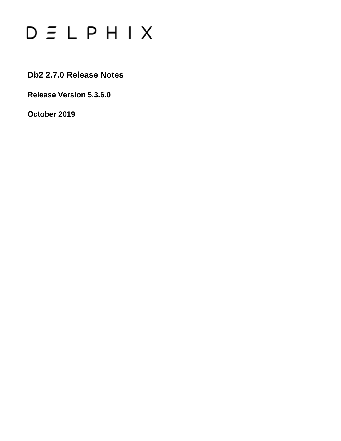# $D \subseteq L$   $P$   $H$   $I$   $X$

**Db2 2.7.0 Release Notes**

**Release Version 5.3.6.0**

**October 2019**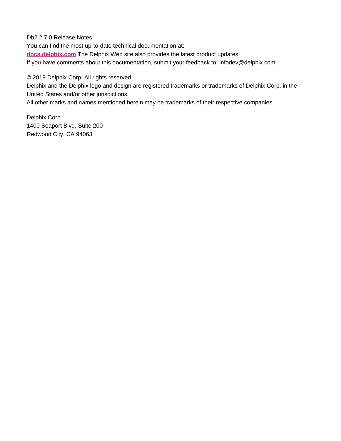Db2 2.7.0 Release Notes

You can find the most up-to-date technical documentation at:

**[docs.delphix.com](http://docs.delphix.com)** The Delphix Web site also provides the latest product updates.

If you have comments about this documentation, submit your feedback to: infodev@delphix.com

© 2019 Delphix Corp. All rights reserved.

Delphix and the Delphix logo and design are registered trademarks or trademarks of Delphix Corp. in the United States and/or other jurisdictions.

All other marks and names mentioned herein may be trademarks of their respective companies.

Delphix Corp. 1400 Seaport Blvd, Suite 200 Redwood City, CA 94063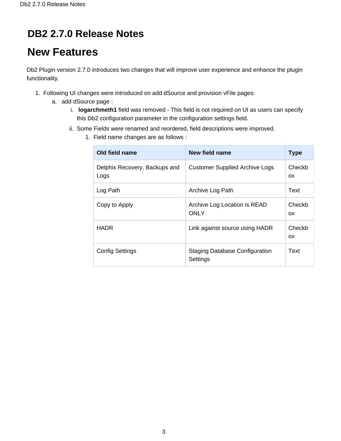### **DB2 2.7.0 Release Notes**

# **New Features**

Db2 Plugin version 2.7.0 introduces two changes that will improve user experience and enhance the plugin functionality.

- 1. Following UI changes were introduced on add dSource and provision vFile pages:
	- a. add dSource page :
		- i. **logarchmeth1** field was removed This field is not required on UI as users can specify this Db2 configuration parameter in the configuration settings field.
		- ii. Some Fields were renamed and reordered, field descriptions were improved.
			- 1. Field name changes are as follows :

| Old field name                        | New field name                                    | <b>Type</b>         |
|---------------------------------------|---------------------------------------------------|---------------------|
| Delphix Recovery, Backups and<br>Logs | <b>Customer Supplied Archive Logs</b>             | Checkb<br>OX.       |
| Log Path                              | Archive Log Path                                  | Text                |
| Copy to Apply                         | Archive Log Location is READ<br><b>ONLY</b>       | Checkb<br><b>OX</b> |
| <b>HADR</b>                           | Link against source using HADR                    | Checkb<br>OX.       |
| <b>Config Settings</b>                | <b>Staging Database Configuration</b><br>Settings | Text                |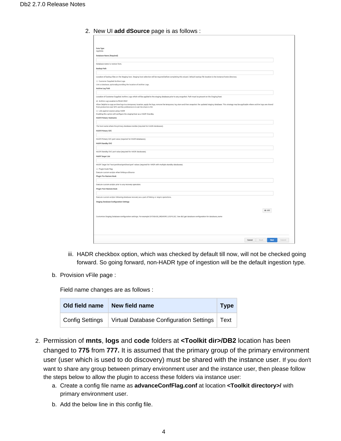2. New UI **add dSource** page is as follows :

| Data Type                                                                                                                                                                                                                                                                                          |        |
|----------------------------------------------------------------------------------------------------------------------------------------------------------------------------------------------------------------------------------------------------------------------------------------------------|--------|
| AppData                                                                                                                                                                                                                                                                                            |        |
| Database Name (Required)                                                                                                                                                                                                                                                                           |        |
|                                                                                                                                                                                                                                                                                                    |        |
| Database name to restore from.                                                                                                                                                                                                                                                                     |        |
| <b>Backup Path</b>                                                                                                                                                                                                                                                                                 |        |
|                                                                                                                                                                                                                                                                                                    |        |
| Location of backup files on the Staging host. Staging host selection will be required before completing this wizard. Default backup file location is the instance home directory.<br>Customer Supplied Archive Logs                                                                                |        |
| Link a database, optionally providing the location of Archive Logs.                                                                                                                                                                                                                                |        |
| Archive Log Path                                                                                                                                                                                                                                                                                   |        |
|                                                                                                                                                                                                                                                                                                    |        |
| Location of Customer Supplied Archive Logs which will be applied to the staging database prior to any snapshot. Path must be present on the Staging host.                                                                                                                                          |        |
| Archive Log Location is READ ONLY                                                                                                                                                                                                                                                                  |        |
| Allow Delphix to copy archive logs to a temporary location, apply the logs, remove the temporary log store and then snapshot the updated staging database. This strategy may be applicable where archive logs are shared<br>from production over NFS and the preference is to set the share to RO. |        |
| E Link against source using HADR                                                                                                                                                                                                                                                                   |        |
| Enabling this option will configure the staging host as a HADR Standby.<br><b>HADR Primary Hostname</b>                                                                                                                                                                                            |        |
|                                                                                                                                                                                                                                                                                                    |        |
| The host name where the primary database resides (required for HADR databases).                                                                                                                                                                                                                    |        |
| <b>HADR Primary SVC</b>                                                                                                                                                                                                                                                                            |        |
|                                                                                                                                                                                                                                                                                                    |        |
| HADR Primary SVC port value (required for HADR databases).                                                                                                                                                                                                                                         |        |
| <b>HADR Standby SVC</b>                                                                                                                                                                                                                                                                            |        |
|                                                                                                                                                                                                                                                                                                    |        |
| HADR Standby SVC port value (required for HADR databases).                                                                                                                                                                                                                                         |        |
| <b>HADR Target List</b>                                                                                                                                                                                                                                                                            |        |
|                                                                                                                                                                                                                                                                                                    |        |
| HADR Target list 'host:port host:port host:port' values (required for HADR with multiple standby databases).                                                                                                                                                                                       |        |
| Plugin Hook Flag<br>Execute custom scripts when linking a dSource                                                                                                                                                                                                                                  |        |
| Plugin Pre-Restore Hook                                                                                                                                                                                                                                                                            |        |
|                                                                                                                                                                                                                                                                                                    |        |
| Execute custom scripts prior to any recovery operation.                                                                                                                                                                                                                                            |        |
| <b>Plugin Post-Restore Hook</b>                                                                                                                                                                                                                                                                    |        |
|                                                                                                                                                                                                                                                                                                    |        |
| Execute custom scripts following database recovery as a part of linking or resync operations.                                                                                                                                                                                                      |        |
| <b>Staging Database Configuration Settings</b>                                                                                                                                                                                                                                                     |        |
|                                                                                                                                                                                                                                                                                                    |        |
| $+$ Add                                                                                                                                                                                                                                                                                            |        |
| Customise Staging Database configuration settings. For example DATABASE_MEMORY, LOGFILSIZ. See db2 get database configuration for database_name                                                                                                                                                    |        |
|                                                                                                                                                                                                                                                                                                    |        |
|                                                                                                                                                                                                                                                                                                    |        |
|                                                                                                                                                                                                                                                                                                    |        |
|                                                                                                                                                                                                                                                                                                    |        |
| Cancel<br>Back<br>Next                                                                                                                                                                                                                                                                             | Submit |
|                                                                                                                                                                                                                                                                                                    |        |

- iii. HADR checkbox option, which was checked by default till now, will not be checked going forward. So going forward, non-HADR type of ingestion will be the default ingestion type.
- b. Provision vFile page :

Field name changes are as follows :

| Old field name         | New field name                                 | <b>Type</b> |
|------------------------|------------------------------------------------|-------------|
| <b>Config Settings</b> | Virtual Database Configuration Settings   Text |             |

- 2. Permission of **mnts**, **logs** and **code** folders at **<Toolkit dir>/DB2** location has been changed to **775** from **777.** It is assumed that the primary group of the primary environment user (user which is used to do discovery) must be shared with the instance user. If you don't want to share any group between primary environment user and the instance user, then please follow the steps below to allow the plugin to access these folders via instance user:
	- a. Create a config file name as **advanceConfFlag.conf** at location **<Toolkit directory>/** with primary environment user.
	- b. Add the below line in this config file.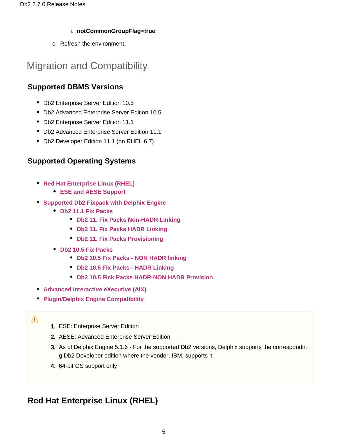#### i. **notCommonGroupFlag**=**true**

c. Refresh the environment**.**

### Migration and Compatibility

#### **Supported DBMS Versions**

- Db2 Enterprise Server Edition 10.5
- Db2 Advanced Enterprise Server Edition 10.5
- Db2 Enterprise Server Edition 11.1
- Db2 Advanced Enterprise Server Edition 11.1
- Db2 Developer Edition 11.1 (on RHEL 6.7)

#### **Supported Operating Systems**

- **[Red Hat Enterprise Linux \(RHEL\)](#page-4-0)** 
	- **[ESE and AESE Support](#page-4-1)**
- **[Supported Db2 Fixpack with Delphix Engine](#page-5-0)**
	- **[Db2 11.1 Fix Packs](#page-5-1)** 
		- **[Db2 11. Fix Packs Non-HADR Linking](#page-5-2)**
		- **[Db2 11. Fix Packs HADR Linking](#page-6-0)**
		- **[Db2 11. Fix Packs Provisioning](#page-6-1)**
	- **[Db2 10.5 Fix Packs](#page-6-2)**
		- **[Db2 10.5 Fix Packs NON HADR linking](#page-6-3)**
		- **[Db2 10.5 Fix Packs HADR Linking](#page-7-0)**
		- **[Db2 10.5 Fick Packs HADR-NON HADR Provision](#page-7-1)**
- **[Advanced Interactive eXecutive \(AIX\)](#page-8-0)**
- **[Plugin/Delphix Engine Compatibility](#page-8-1)**

#### Λ

- 1. ESE: Enterprise Server Edition
- 2. AESE: Advanced Enterprise Server Edition
- 3. As of Delphix Engine 5.1.6 For the supported Db2 versions, Delphix supports the correspondin g Db2 Developer edition where the vendor, IBM, supports it
- 4. 64-bit OS support only

### <span id="page-4-1"></span><span id="page-4-0"></span>**Red Hat Enterprise Linux (RHEL)**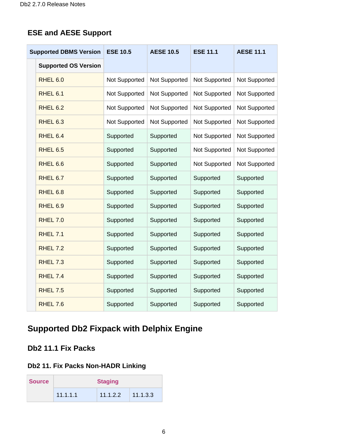#### **ESE and AESE Support**

| <b>Supported DBMS Version</b> |                             | <b>ESE 10.5</b> | <b>AESE 10.5</b> | <b>ESE 11.1</b>      | <b>AESE 11.1</b>     |  |
|-------------------------------|-----------------------------|-----------------|------------------|----------------------|----------------------|--|
|                               | <b>Supported OS Version</b> |                 |                  |                      |                      |  |
|                               | RHEL 6.0                    | Not Supported   | Not Supported    | <b>Not Supported</b> | <b>Not Supported</b> |  |
|                               | RHEL 6.1                    | Not Supported   | Not Supported    | Not Supported        | Not Supported        |  |
|                               | <b>RHEL 6.2</b>             | Not Supported   | Not Supported    | Not Supported        | Not Supported        |  |
|                               | <b>RHEL 6.3</b>             | Not Supported   | Not Supported    | Not Supported        | Not Supported        |  |
|                               | RHEL 6.4                    | Supported       | Supported        | Not Supported        | Not Supported        |  |
|                               | <b>RHEL 6.5</b>             | Supported       | Supported        | Not Supported        | Not Supported        |  |
|                               | RHEL 6.6                    | Supported       | Supported        | Not Supported        | Not Supported        |  |
|                               | RHEL 6.7                    | Supported       | Supported        | Supported            | Supported            |  |
|                               | RHEL 6.8                    | Supported       | Supported        | Supported            | Supported            |  |
|                               | RHEL 6.9                    | Supported       | Supported        | Supported            | Supported            |  |
|                               | <b>RHEL 7.0</b>             | Supported       | Supported        | Supported            | Supported            |  |
|                               | <b>RHEL 7.1</b>             | Supported       | Supported        | Supported            | Supported            |  |
|                               | <b>RHEL 7.2</b>             | Supported       | Supported        | Supported            | Supported            |  |
|                               | <b>RHEL 7.3</b>             | Supported       | Supported        | Supported            | Supported            |  |
|                               | <b>RHEL 7.4</b>             | Supported       | Supported        | Supported            | Supported            |  |
|                               | <b>RHEL 7.5</b>             | Supported       | Supported        | Supported            | Supported            |  |
|                               | <b>RHEL 7.6</b>             | Supported       | Supported        | Supported            | Supported            |  |

### <span id="page-5-0"></span>**Supported Db2 Fixpack with Delphix Engine**

#### <span id="page-5-1"></span>**Db2 11.1 Fix Packs**

#### <span id="page-5-2"></span>**Db2 11. Fix Packs Non-HADR Linking**

| <b>Source</b> |          | <b>Staging</b> |          |  |  |
|---------------|----------|----------------|----------|--|--|
|               | 11.1.1.1 | 11.1.2.2       | 11.1.3.3 |  |  |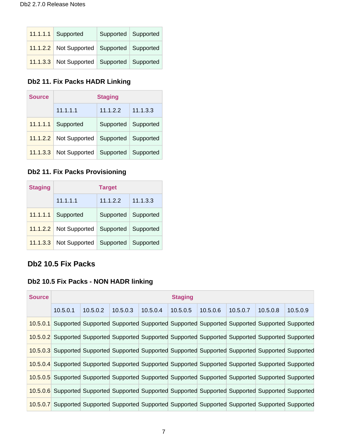| $11.1.1.1$ Supported                       | Supported   Supported |  |
|--------------------------------------------|-----------------------|--|
| 11.1.2.2 Not Supported Supported Supported |                       |  |
| 11.1.3.3 Not Supported Supported Supported |                       |  |

#### <span id="page-6-0"></span>**Db2 11. Fix Packs HADR Linking**

| <b>Source</b> | <b>Staging</b>         |                       |          |  |  |  |  |  |
|---------------|------------------------|-----------------------|----------|--|--|--|--|--|
|               | 11.1.1.1               | 11.1.2.2              | 11.1.3.3 |  |  |  |  |  |
| 11.1.1.1      | Supported              | Supported   Supported |          |  |  |  |  |  |
|               | 11.1.2.2 Not Supported | Supported   Supported |          |  |  |  |  |  |
| 11.1.3.3      | Not Supported          | Supported   Supported |          |  |  |  |  |  |

### <span id="page-6-1"></span>**Db2 11. Fix Packs Provisioning**

| <b>Staging</b> | <b>Target</b>                     |                       |          |  |  |  |  |  |
|----------------|-----------------------------------|-----------------------|----------|--|--|--|--|--|
|                | 11.1.1.1                          | 11.1.2.2              | 11.1.3.3 |  |  |  |  |  |
| 11.1.1.1       | Supported                         | Supported   Supported |          |  |  |  |  |  |
| 11.1.2.2       | Not Supported                     | Supported   Supported |          |  |  |  |  |  |
| 11.1.3.3       | Not Supported Supported Supported |                       |          |  |  |  |  |  |

#### <span id="page-6-2"></span>**Db2 10.5 Fix Packs**

#### <span id="page-6-3"></span>**Db2 10.5 Fix Packs - NON HADR linking**

| <b>Source</b> |          | <b>Staging</b>                                                                                     |          |          |          |          |          |          |          |  |
|---------------|----------|----------------------------------------------------------------------------------------------------|----------|----------|----------|----------|----------|----------|----------|--|
|               | 10.5.0.1 | 10.5.0.2                                                                                           | 10.5.0.3 | 10.5.0.4 | 10.5.0.5 | 10.5.0.6 | 10.5.0.7 | 10.5.0.8 | 10.5.0.9 |  |
|               |          | 10.5.0.1 Supported Supported Supported Supported Supported Supported Supported Supported Supported |          |          |          |          |          |          |          |  |
|               |          | 10.5.0.2 Supported Supported Supported Supported Supported Supported Supported Supported Supported |          |          |          |          |          |          |          |  |
|               |          | 10.5.0.3 Supported Supported Supported Supported Supported Supported Supported Supported Supported |          |          |          |          |          |          |          |  |
|               |          | 10.5.0.4 Supported Supported Supported Supported Supported Supported Supported Supported Supported |          |          |          |          |          |          |          |  |
|               |          | 10.5.0.5 Supported Supported Supported Supported Supported Supported Supported Supported Supported |          |          |          |          |          |          |          |  |
|               |          | 10.5.0.6 Supported Supported Supported Supported Supported Supported Supported Supported Supported |          |          |          |          |          |          |          |  |
|               |          | 10.5.0.7 Supported Supported Supported Supported Supported Supported Supported Supported Supported |          |          |          |          |          |          |          |  |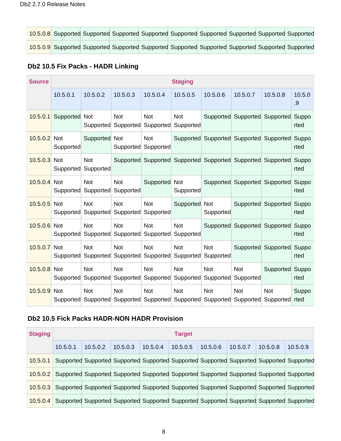|  |  |  |  | 10.5.0.8 Supported Supported Supported Supported Supported Supported Supported Supported Supported |
|--|--|--|--|----------------------------------------------------------------------------------------------------|
|  |  |  |  | 10.5.0.9 Supported Supported Supported Supported Supported Supported Supported Supported Supported |

#### <span id="page-7-0"></span>**Db2 10.5 Fix Packs - HADR Linking**

| <b>Source</b>  |                         |                         |                         |                         | <b>Staging</b>          |                                                             |                         |                               |               |
|----------------|-------------------------|-------------------------|-------------------------|-------------------------|-------------------------|-------------------------------------------------------------|-------------------------|-------------------------------|---------------|
|                | 10.5.0.1                | 10.5.0.2                | 10.5.0.3                | 10.5.0.4                | 10.5.0.5                | 10.5.0.6                                                    | 10.5.0.7                | 10.5.0.8                      | 10.5.0<br>.9  |
| 10.5.0.1       | Supported               | <b>Not</b><br>Supported | <b>Not</b><br>Supported | <b>Not</b><br>Supported | <b>Not</b><br>Supported |                                                             |                         | Supported Supported Supported | Suppo<br>rted |
| 10.5.0.2       | <b>Not</b><br>Supported | Supported Not           | Supported               | <b>Not</b><br>Supported |                         | Supported Supported Supported Supported                     |                         |                               | Suppo<br>rted |
| 10.5.0.3       | Not<br>Supported        | <b>Not</b><br>Supported |                         |                         |                         | Supported Supported Supported Supported Supported Supported |                         |                               | Suppo<br>rted |
| $10.5.0.4$ Not | Supported               | <b>Not</b><br>Supported | <b>Not</b><br>Supported | Supported Not           | Supported               |                                                             |                         | Supported Supported Supported | Suppo<br>rted |
| 10.5.0.5 Not   | Supported               | <b>Not</b><br>Supported | Not<br>Supported        | <b>Not</b><br>Supported | Supported Not           | Supported                                                   |                         | Supported Supported           | Suppo<br>rted |
| 10.5.0.6       | <b>Not</b><br>Supported | <b>Not</b><br>Supported | <b>Not</b><br>Supported | <b>Not</b><br>Supported | <b>Not</b><br>Supported |                                                             |                         | Supported Supported Supported | Suppo<br>rted |
| 10.5.0.7 Not   | Supported               | <b>Not</b><br>Supported | <b>Not</b><br>Supported | <b>Not</b><br>Supported | <b>Not</b><br>Supported | <b>Not</b><br>Supported                                     |                         | Supported Supported           | Suppo<br>rted |
| 10.5.0.8       | <b>Not</b><br>Supported | <b>Not</b><br>Supported | <b>Not</b><br>Supported | <b>Not</b><br>Supported | <b>Not</b><br>Supported | <b>Not</b><br>Supported                                     | <b>Not</b><br>Supported | Supported                     | Suppo<br>rted |
| 10.5.0.9       | <b>Not</b><br>Supported | <b>Not</b><br>Supported | <b>Not</b>              | <b>Not</b>              | <b>Not</b>              | <b>Not</b><br>Supported Supported Supported Supported       | <b>Not</b><br>Supported | <b>Not</b><br>Supported       | Suppo<br>rted |

#### <span id="page-7-1"></span>**Db2 10.5 Fick Packs HADR-NON HADR Provision**

| <b>Staging</b> | <b>Target</b>                                                                                      |          |          |          |          |          |          |          |                                                                                           |
|----------------|----------------------------------------------------------------------------------------------------|----------|----------|----------|----------|----------|----------|----------|-------------------------------------------------------------------------------------------|
|                | 10.5.0.1                                                                                           | 10.5.0.2 | 10.5.0.3 | 10.5.0.4 | 10.5.0.5 | 10.5.0.6 | 10.5.0.7 | 10.5.0.8 | 10.5.0.9                                                                                  |
| 10.5.0.1       |                                                                                                    |          |          |          |          |          |          |          | Supported Supported Supported Supported Supported Supported Supported Supported Supported |
|                | 10.5.0.2 Supported Supported Supported Supported Supported Supported Supported Supported Supported |          |          |          |          |          |          |          |                                                                                           |
|                | 10.5.0.3 Supported Supported Supported Supported Supported Supported Supported Supported Supported |          |          |          |          |          |          |          |                                                                                           |
|                | 10.5.0.4 Supported Supported Supported Supported Supported Supported Supported Supported Supported |          |          |          |          |          |          |          |                                                                                           |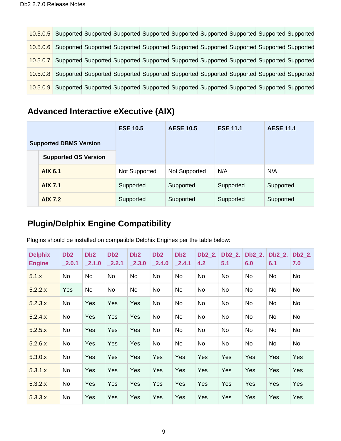|          | 10.5.0.5 Supported Supported Supported Supported Supported Supported Supported Supported Supported |  |  |  |  |
|----------|----------------------------------------------------------------------------------------------------|--|--|--|--|
|          | 10.5.0.6 Supported Supported Supported Supported Supported Supported Supported Supported Supported |  |  |  |  |
| 10.5.0.7 | Supported Supported Supported Supported Supported Supported Supported Supported Supported          |  |  |  |  |
|          | 10.5.0.8 Supported Supported Supported Supported Supported Supported Supported Supported Supported |  |  |  |  |
|          | 10.5.0.9 Supported Supported Supported Supported Supported Supported Supported Supported Supported |  |  |  |  |

### <span id="page-8-0"></span>**Advanced Interactive eXecutive (AIX)**

|                               |                             | <b>ESE 10.5</b> | <b>AESE 10.5</b> | <b>ESE 11.1</b> | <b>AESE 11.1</b> |  |
|-------------------------------|-----------------------------|-----------------|------------------|-----------------|------------------|--|
| <b>Supported DBMS Version</b> |                             |                 |                  |                 |                  |  |
|                               | <b>Supported OS Version</b> |                 |                  |                 |                  |  |
|                               | <b>AIX 6.1</b>              | Not Supported   | Not Supported    | N/A             | N/A              |  |
|                               | <b>AIX 7.1</b>              | Supported       | Supported        | Supported       | Supported        |  |
|                               | <b>AIX 7.2</b>              | Supported       | Supported        | Supported       | Supported        |  |

### <span id="page-8-1"></span>**Plugin/Delphix Engine Compatibility**

Plugins should be installed on compatible Delphix Engines per the table below:

| <b>Delphix</b><br><b>Engine</b> | D <sub>b</sub> 2<br>2.0.1 | D <sub>b</sub> 2<br>2.1.0 | D <sub>b</sub> 2<br>2.2.1 | D <sub>b</sub> 2<br>2.3.0 | D <sub>b</sub> 2<br>2.4.0 | D <sub>b</sub> 2<br>2.4.1 | Db2 2.<br>4.2 | $Db2_2$ .<br>5.1 | Db2_2.<br>6.0 | Db2 2.<br>6.1 | Db2_2.<br>7.0 |
|---------------------------------|---------------------------|---------------------------|---------------------------|---------------------------|---------------------------|---------------------------|---------------|------------------|---------------|---------------|---------------|
| 5.1.x                           | No                        | <b>No</b>                 | <b>No</b>                 | <b>No</b>                 | No                        | <b>No</b>                 | <b>No</b>     | <b>No</b>        | No            | No            | No            |
| 5.2.2.x                         | Yes                       | No                        | No                        | No                        | No                        | No                        | No            | No               | No            | No            | No            |
| 5.2.3.x                         | No                        | Yes                       | Yes                       | Yes                       | No                        | No                        | No            | No               | No            | No            | No            |
| 5.2.4.x                         | No                        | Yes                       | Yes                       | Yes                       | No                        | <b>No</b>                 | No            | No               | No            | No            | No            |
| 5.2.5.x                         | No                        | Yes                       | Yes                       | Yes                       | No                        | No                        | No            | No               | No            | No            | No            |
| 5.2.6.x                         | No                        | Yes                       | Yes                       | Yes                       | No                        | No                        | No            | No               | No            | No            | No            |
| 5.3.0.x                         | No                        | Yes                       | Yes                       | Yes                       | Yes                       | Yes                       | <b>Yes</b>    | Yes              | Yes           | <b>Yes</b>    | Yes           |
| 5.3.1.x                         | No                        | Yes                       | Yes                       | Yes                       | Yes                       | Yes                       | Yes           | Yes              | Yes           | Yes           | Yes           |
| 5.3.2.x                         | No                        | Yes                       | Yes                       | Yes                       | Yes                       | Yes                       | <b>Yes</b>    | Yes              | Yes           | <b>Yes</b>    | Yes           |
| 5.3.3.x                         | No                        | Yes                       | Yes                       | Yes                       | Yes                       | Yes                       | Yes           | Yes              | Yes           | Yes           | Yes           |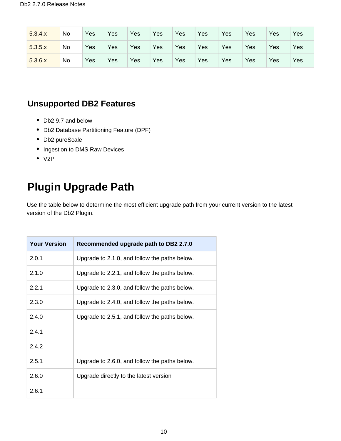| 5.3.4.x | No | Yes | Yes | Yes | Yes | Yes | Yes | Yes | Yes | Yes | Yes |
|---------|----|-----|-----|-----|-----|-----|-----|-----|-----|-----|-----|
| 5.3.5.x | No | Yes | Yes | Yes | Yes | Yes | Yes | Yes | Yes | Yes | Yes |
| 5.3.6.x | No | Yes | Yes | Yes | Yes | Yes | Yes | Yes | Yes | Yes | Yes |

### **Unsupported DB2 Features**

- Db2 9.7 and below
- Db2 Database Partitioning Feature (DPF)
- Db2 pureScale
- Ingestion to DMS Raw Devices
- $\bullet$  V2P

# **Plugin Upgrade Path**

Use the table below to determine the most efficient upgrade path from your current version to the latest version of the Db2 Plugin.

| <b>Your Version</b> | Recommended upgrade path to DB2 2.7.0         |
|---------------------|-----------------------------------------------|
| 2.0.1               | Upgrade to 2.1.0, and follow the paths below. |
| 2.1.0               | Upgrade to 2.2.1, and follow the paths below. |
| 2.2.1               | Upgrade to 2.3.0, and follow the paths below. |
| 2.3.0               | Upgrade to 2.4.0, and follow the paths below. |
| 2.4.0               | Upgrade to 2.5.1, and follow the paths below. |
| 2.4.1               |                                               |
| 2.4.2               |                                               |
| 2.5.1               | Upgrade to 2.6.0, and follow the paths below. |
| 2.6.0               | Upgrade directly to the latest version        |
| 2.6.1               |                                               |